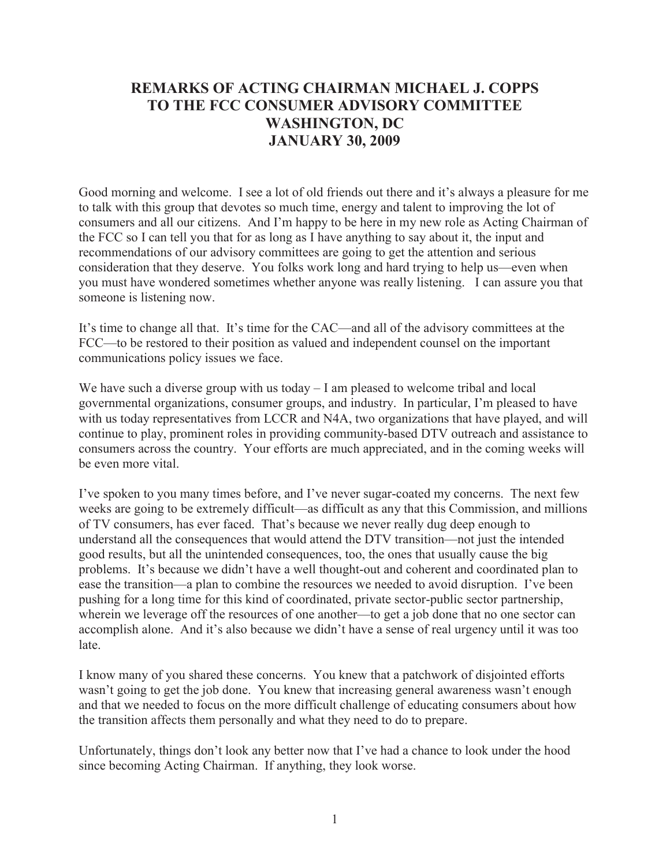## **REMARKS OF ACTING CHAIRMAN MICHAEL J. COPPS TO THE FCC CONSUMER ADVISORY COMMITTEE WASHINGTON, DC JANUARY 30, 2009**

Good morning and welcome. I see a lot of old friends out there and it's always a pleasure for me to talk with this group that devotes so much time, energy and talent to improving the lot of consumers and all our citizens. And I'm happy to be here in my new role as Acting Chairman of the FCC so I can tell you that for as long as I have anything to say about it, the input and recommendations of our advisory committees are going to get the attention and serious consideration that they deserve. You folks work long and hard trying to help us—even when you must have wondered sometimes whether anyone was really listening. I can assure you that someone is listening now.

It's time to change all that. It's time for the CAC—and all of the advisory committees at the FCC—to be restored to their position as valued and independent counsel on the important communications policy issues we face.

We have such a diverse group with us today – I am pleased to welcome tribal and local governmental organizations, consumer groups, and industry. In particular, I'm pleased to have with us today representatives from LCCR and N4A, two organizations that have played, and will continue to play, prominent roles in providing community-based DTV outreach and assistance to consumers across the country. Your efforts are much appreciated, and in the coming weeks will be even more vital.

I've spoken to you many times before, and I've never sugar-coated my concerns. The next few weeks are going to be extremely difficult—as difficult as any that this Commission, and millions of TV consumers, has ever faced. That's because we never really dug deep enough to understand all the consequences that would attend the DTV transition—not just the intended good results, but all the unintended consequences, too, the ones that usually cause the big problems. It's because we didn't have a well thought-out and coherent and coordinated plan to ease the transition—a plan to combine the resources we needed to avoid disruption. I've been pushing for a long time for this kind of coordinated, private sector-public sector partnership, wherein we leverage off the resources of one another—to get a job done that no one sector can accomplish alone. And it's also because we didn't have a sense of real urgency until it was too late.

I know many of you shared these concerns. You knew that a patchwork of disjointed efforts wasn't going to get the job done. You knew that increasing general awareness wasn't enough and that we needed to focus on the more difficult challenge of educating consumers about how the transition affects them personally and what they need to do to prepare.

Unfortunately, things don't look any better now that I've had a chance to look under the hood since becoming Acting Chairman. If anything, they look worse.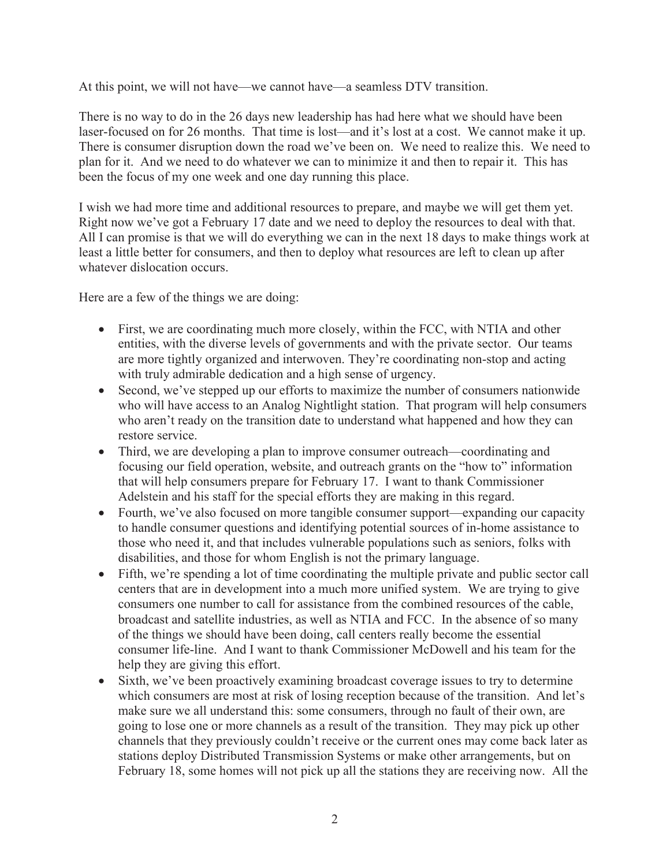At this point, we will not have—we cannot have—a seamless DTV transition.

There is no way to do in the 26 days new leadership has had here what we should have been laser-focused on for 26 months. That time is lost—and it's lost at a cost. We cannot make it up. There is consumer disruption down the road we've been on. We need to realize this. We need to plan for it. And we need to do whatever we can to minimize it and then to repair it. This has been the focus of my one week and one day running this place.

I wish we had more time and additional resources to prepare, and maybe we will get them yet. Right now we've got a February 17 date and we need to deploy the resources to deal with that. All I can promise is that we will do everything we can in the next 18 days to make things work at least a little better for consumers, and then to deploy what resources are left to clean up after whatever dislocation occurs.

Here are a few of the things we are doing:

- First, we are coordinating much more closely, within the FCC, with NTIA and other entities, with the diverse levels of governments and with the private sector. Our teams are more tightly organized and interwoven. They're coordinating non-stop and acting with truly admirable dedication and a high sense of urgency.
- · Second, we've stepped up our efforts to maximize the number of consumers nationwide who will have access to an Analog Nightlight station. That program will help consumers who aren't ready on the transition date to understand what happened and how they can restore service.
- Third, we are developing a plan to improve consumer outreach—coordinating and focusing our field operation, website, and outreach grants on the "how to" information that will help consumers prepare for February 17. I want to thank Commissioner Adelstein and his staff for the special efforts they are making in this regard.
- Fourth, we've also focused on more tangible consumer support—expanding our capacity to handle consumer questions and identifying potential sources of in-home assistance to those who need it, and that includes vulnerable populations such as seniors, folks with disabilities, and those for whom English is not the primary language.
- Fifth, we're spending a lot of time coordinating the multiple private and public sector call centers that are in development into a much more unified system. We are trying to give consumers one number to call for assistance from the combined resources of the cable, broadcast and satellite industries, as well as NTIA and FCC. In the absence of so many of the things we should have been doing, call centers really become the essential consumer life-line. And I want to thank Commissioner McDowell and his team for the help they are giving this effort.
- Sixth, we've been proactively examining broadcast coverage issues to try to determine which consumers are most at risk of losing reception because of the transition. And let's make sure we all understand this: some consumers, through no fault of their own, are going to lose one or more channels as a result of the transition. They may pick up other channels that they previously couldn't receive or the current ones may come back later as stations deploy Distributed Transmission Systems or make other arrangements, but on February 18, some homes will not pick up all the stations they are receiving now. All the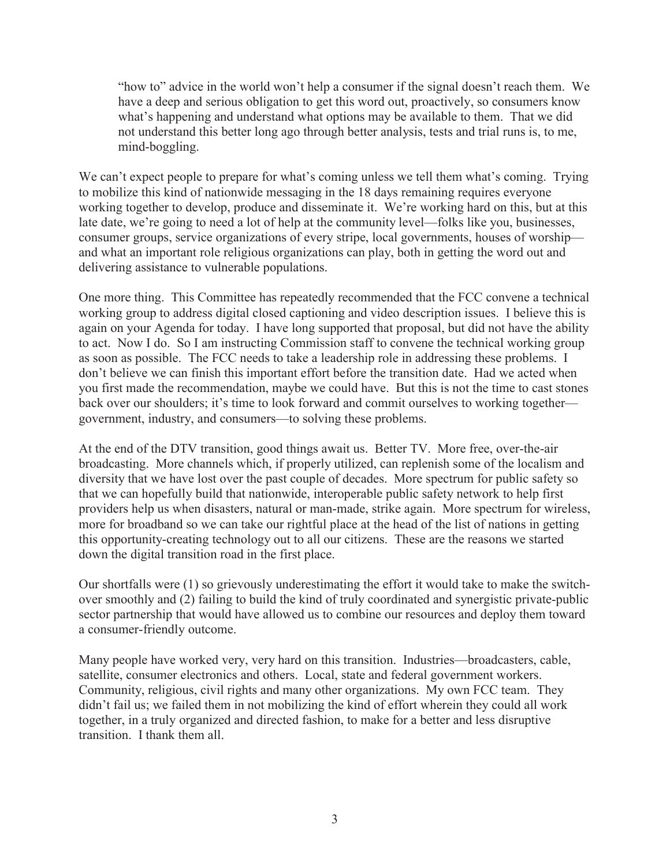"how to" advice in the world won't help a consumer if the signal doesn't reach them. We have a deep and serious obligation to get this word out, proactively, so consumers know what's happening and understand what options may be available to them. That we did not understand this better long ago through better analysis, tests and trial runs is, to me, mind-boggling.

We can't expect people to prepare for what's coming unless we tell them what's coming. Trying to mobilize this kind of nationwide messaging in the 18 days remaining requires everyone working together to develop, produce and disseminate it. We're working hard on this, but at this late date, we're going to need a lot of help at the community level—folks like you, businesses, consumer groups, service organizations of every stripe, local governments, houses of worship and what an important role religious organizations can play, both in getting the word out and delivering assistance to vulnerable populations.

One more thing. This Committee has repeatedly recommended that the FCC convene a technical working group to address digital closed captioning and video description issues. I believe this is again on your Agenda for today. I have long supported that proposal, but did not have the ability to act. Now I do. So I am instructing Commission staff to convene the technical working group as soon as possible. The FCC needs to take a leadership role in addressing these problems. I don't believe we can finish this important effort before the transition date. Had we acted when you first made the recommendation, maybe we could have. But this is not the time to cast stones back over our shoulders; it's time to look forward and commit ourselves to working together government, industry, and consumers—to solving these problems.

At the end of the DTV transition, good things await us. Better TV. More free, over-the-air broadcasting. More channels which, if properly utilized, can replenish some of the localism and diversity that we have lost over the past couple of decades. More spectrum for public safety so that we can hopefully build that nationwide, interoperable public safety network to help first providers help us when disasters, natural or man-made, strike again. More spectrum for wireless, more for broadband so we can take our rightful place at the head of the list of nations in getting this opportunity-creating technology out to all our citizens. These are the reasons we started down the digital transition road in the first place.

Our shortfalls were (1) so grievously underestimating the effort it would take to make the switchover smoothly and (2) failing to build the kind of truly coordinated and synergistic private-public sector partnership that would have allowed us to combine our resources and deploy them toward a consumer-friendly outcome.

Many people have worked very, very hard on this transition. Industries—broadcasters, cable, satellite, consumer electronics and others. Local, state and federal government workers. Community, religious, civil rights and many other organizations. My own FCC team. They didn't fail us; we failed them in not mobilizing the kind of effort wherein they could all work together, in a truly organized and directed fashion, to make for a better and less disruptive transition. I thank them all.